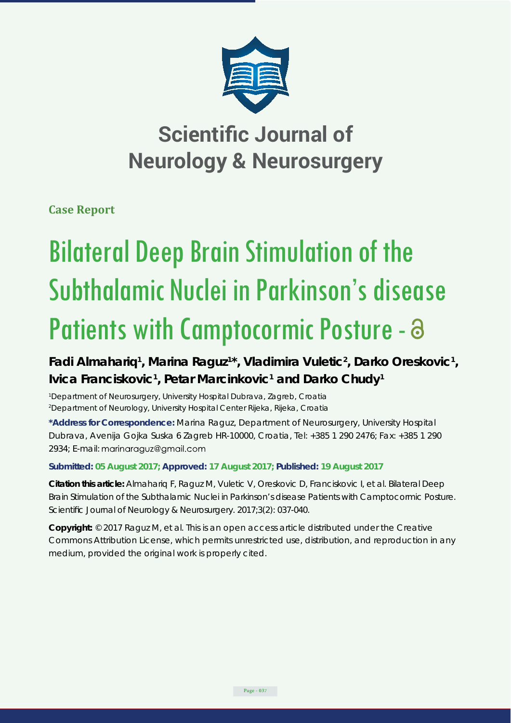

## **Scientific Journal of Neurology & Neurosurgery**

**Case Report**

# Bilateral Deep Brain Stimulation of the Subthalamic Nuclei in Parkinson's disease Patients with Camptocormic Posture -  $\partial$

Fadi Almahariq<sup>1</sup>, Marina Raguz<sup>1\*</sup>, Vladimira Vuletic<sup>2</sup>, Darko Oreskovic<sup>1</sup>, Ivica Franciskovic<sup>1</sup>, Petar Marcinkovic<sup>1</sup> and Darko Chudy<sup>1</sup>

*1 Department of Neurosurgery, University Hospital Dubrava, Zagreb, Croatia 2 Department of Neurology, University Hospital Center Rijeka, Rijeka, Croatia*

**\*Address for Correspondence:** Marina Raguz, Department of Neurosurgery, University Hospital Dubrava, Avenija Gojka Suska 6 Zagreb HR-10000, Croatia, Tel: +385 1 290 2476; Fax: +385 1 290 2934; E-mail: marinaraguz@gmail.com

### **Submitted: 05 August 2017; Approved: 17 August 2017; Published: 19 August 2017**

**Citation this article:** Almahariq F, Raguz M, Vuletic V, Oreskovic D, Franciskovic I, et al. Bilateral Deep Brain Stimulation of the Subthalamic Nuclei in Parkinson's disease Patients with Camptocormic Posture. Scientific Journal of Neurology & Neurosurgery. 2017;3(2): 037-040.

**Copyright:** © 2017 Raguz M, et al. This is an open access article distributed under the Creative Commons Attribution License, which permits unrestricted use, distribution, and reproduction in any medium, provided the original work is properly cited.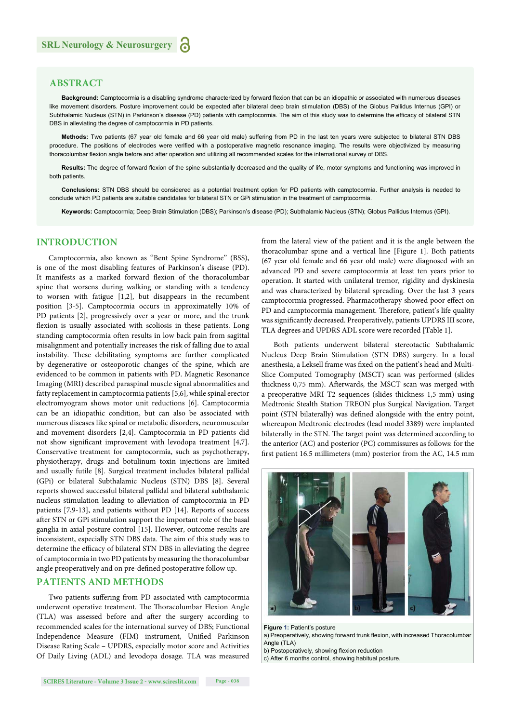#### **ABSTRACT**

Background: Camptocormia is a disabling syndrome characterized by forward flexion that can be an idiopathic or associated with numerous diseases like movement disorders. Posture improvement could be expected after bilateral deep brain stimulation (DBS) of the Globus Pallidus Internus (GPI) or Subthalamic Nucleus (STN) in Parkinson's disease (PD) patients with camptocormia. The aim of this study was to determine the efficacy of bilateral STN DBS in alleviating the degree of camptocormia in PD patients.

**Methods:** Two patients (67 year old female and 66 year old male) suffering from PD in the last ten years were subjected to bilateral STN DBS procedure. The positions of electrodes were verified with a postoperative magnetic resonance imaging. The results were objectivized by measuring thoracolumbar flexion angle before and after operation and utilizing all recommended scales for the international survey of DBS.

Results: The degree of forward flexion of the spine substantially decreased and the quality of life, motor symptoms and functioning was improved in both patients.

**Conclusions:** STN DBS should be considered as a potential treatment option for PD patients with camptocormia. Further analysis is needed to conclude which PD patients are suitable candidates for bilateral STN or GPi stimulation in the treatment of camptocormia.

**Keywords:** Camptocormia; Deep Brain Stimulation (DBS); Parkinson's disease (PD); Subthalamic Nucleus (STN); Globus Pallidus Internus (GPI).

#### **INTRODUCTION**

Camptocormia, also known as ''Bent Spine Syndrome'' (BSS), is one of the most disabling features of Parkinson's disease (PD). It manifests as a marked forward flexion of the thoracolumbar spine that worsens during walking or standing with a tendency to worsen with fatigue [1,2], but disappears in the recumbent position [3-5]. Camptocormia occurs in approximatelly 10% of PD patients [2], progressively over a year or more, and the trunk flexion is usually associated with scoliosis in these patients. Long standing camptocormia often results in low back pain from sagittal misalignment and potentially increases the risk of falling due to axial instability. These debilitating symptoms are further complicated by degenerative or osteoporotic changes of the spine, which are evidenced to be common in patients with PD. Magnetic Resonance Imaging (MRI) described paraspinal muscle signal abnormalities and fatty replacement in camptocormia patients [5,6], while spinal erector electromyogram shows motor unit reductions [6]. Camptocormia can be an idiopathic condition, but can also be associated with numerous diseases like spinal or metabolic disorders, neuromuscular and movement disorders [2,4]. Camptocormia in PD patients did not show significant improvement with levodopa treatment [4,7]. Conservative treatment for camptocormia, such as psychotherapy, physiotherapy, drugs and botulinum toxin injections are limited and usually futile [8]. Surgical treatment includes bilateral pallidal (GPi) or bilateral Subthalamic Nucleus (STN) DBS [8]. Several reports showed successful bilateral pallidal and bilateral subthalamic nucleus stimulation leading to alleviation of camptocormia in PD patients [7,9-13], and patients without PD [14]. Reports of success after STN or GPi stimulation support the important role of the basal ganglia in axial posture control [15]. However, outcome results are inconsistent, especially STN DBS data. The aim of this study was to determine the efficacy of bilateral STN DBS in alleviating the degree of camptocormia in two PD patients by measuring the thoracolumbar angle preoperatively and on pre-defined postoperative follow up.

#### **PATIENTS AND METHODS**

Two patients suffering from PD associated with camptocormia underwent operative treatment. The Thoracolumbar Flexion Angle (TLA) was assessed before and after the surgery according to recommended scales for the international survey of DBS; Functional Independence Measure (FIM) instrument, Unified Parkinson Disease Rating Scale – UPDRS, especially motor score and Activities Of Daily Living (ADL) and levodopa dosage. TLA was measured

from the lateral view of the patient and it is the angle between the thoracolumbar spine and a vertical line [Figure 1]. Both patients (67 year old female and 66 year old male) were diagnosed with an advanced PD and severe camptocormia at least ten years prior to operation. It started with unilateral tremor, rigidity and dyskinesia and was characterized by bilateral spreading. Over the last 3 years camptocormia progressed. Pharmacotherapy showed poor effect on PD and camptocormia management. Therefore, patient's life quality was significantly decreased. Preoperatively, patients UPDRS III score, TLA degrees and UPDRS ADL score were recorded [Table 1].

Both patients underwent bilateral stereotactic Subthalamic Nucleus Deep Brain Stimulation (STN DBS) surgery. In a local anesthesia, a Leksell frame was fixed on the patient's head and Multi-Slice Computed Tomography (MSCT) scan was performed (slides thickness 0,75 mm). Afterwards, the MSCT scan was merged with a preoperative MRI T2 sequences (slides thickness 1,5 mm) using Medtronic Stealth Station TREON plus Surgical Navigation. Target point (STN bilaterally) was defined alongside with the entry point, whereupon Medtronic electrodes (lead model 3389) were implanted bilaterally in the STN. The target point was determined according to the anterior (AC) and posterior (PC) commissures as follows: for the first patient 16.5 millimeters (mm) posterior from the AC, 14.5 mm



**Figure 1:** Patient's posture

a) Preoperatively, showing forward trunk flexion, with increased Thoracolumbar Angle (TLA)

b) Postoperatively, showing flexion reduction

c) After 6 months control, showing habitual posture.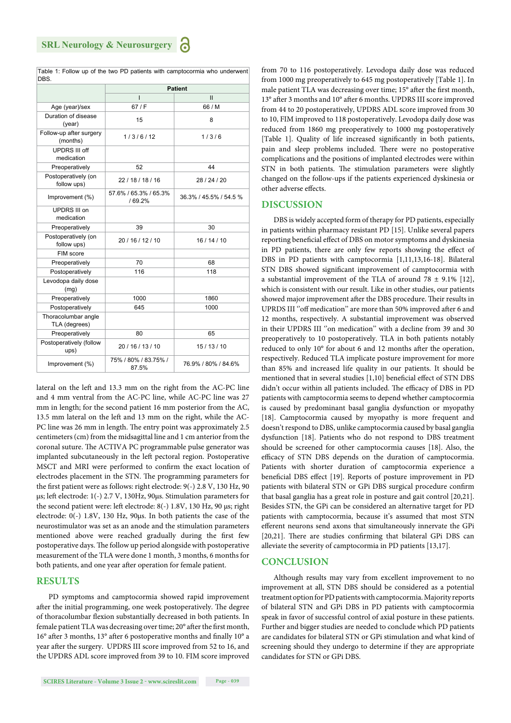|                                      | <b>Patient</b>                   |                        |
|--------------------------------------|----------------------------------|------------------------|
|                                      | $\overline{1}$                   | $\mathbf{II}$          |
| Age (year)/sex                       | 67/F                             | 66 / M                 |
| Duration of disease<br>(year)        | 15                               | 8                      |
| Follow-up after surgery<br>(months)  | 1/3/6/12                         | 1/3/6                  |
| <b>UPDRS III off</b><br>medication   |                                  |                        |
| Preoperatively                       | 52                               | 44                     |
| Postoperatively (on<br>follow ups)   | 22/18/18/16                      | 28/24/20               |
| Improvement (%)                      | 57.6% / 65.3% / 65.3%<br>/ 69.2% | 36.3% / 45.5% / 54.5 % |
| UPDRS III on<br>medication           |                                  |                        |
| Preoperatively                       | 39                               | 30                     |
| Postoperatively (on<br>follow ups)   | 20 / 16 / 12 / 10                | 16/14/10               |
| FIM score                            |                                  |                        |
| Preoperatively                       | 70                               | 68                     |
| Postoperatively                      | 116                              | 118                    |
| Levodopa daily dose<br>(mg)          |                                  |                        |
| Preoperatively                       | 1000                             | 1860                   |
| Postoperatively                      | 645                              | 1000                   |
| Thoracolumbar angle<br>TLA (degrees) |                                  |                        |
| Preoperatively                       | 80                               | 65                     |
| Postoperatively (follow<br>ups)      | 20 / 16 / 13 / 10                | 15/13/10               |
| Improvement (%)                      | 75% / 80% / 83.75% /<br>87.5%    | 76.9% / 80% / 84.6%    |

Table 1: Follow up of the two PD patients with camptocormia who underwent DBS.

lateral on the left and 13.3 mm on the right from the AC-PC line and 4 mm ventral from the AC-PC line, while AC-PC line was 27 mm in length; for the second patient 16 mm posterior from the AC, 13.5 mm lateral on the left and 13 mm on the right, while the AC-PC line was 26 mm in length. The entry point was approximately 2.5 centimeters (cm) from the midsagittal line and 1 cm anterior from the coronal suture. The ACTIVA PC programmable pulse generator was implanted subcutaneously in the left pectoral region. Postoperative MSCT and MRI were performed to confirm the exact location of electrodes placement in the STN. The programming parameters for the first patient were as follows: right electrode: 9(-) 2.8 V, 130 Hz, 90 μs; left electrode: 1(-) 2.7 V, 130Hz, 90μs. Stimulation parameters for the second patient were: left electrode: 8(-) 1.8V, 130 Hz, 90 μs; right electrode: 0(-) 1.8V, 130 Hz, 90μs. In both patients the case of the neurostimulator was set as an anode and the stimulation parameters mentioned above were reached gradually during the first few postoperative days. The follow up period alongside with postoperative measurement of the TLA were done 1 month, 3 months, 6 months for both patients, and one year after operation for female patient.

#### **RESULTS**

PD symptoms and camptocormia showed rapid improvement after the initial programming, one week postoperatively. The degree of thoracolumbar flexion substantially decreased in both patients. In female patient TLA was decreasing over time; 20° after the first month,  $16^{\circ}$  after 3 months,  $13^{\circ}$  after 6 postoperative months and finally  $10^{\circ}$  a year after the surgery. UPDRS III score improved from 52 to 16, and the UPDRS ADL score improved from 39 to 10. FIM score improved from 70 to 116 postoperatively. Levodopa daily dose was reduced from 1000 mg preoperatively to 645 mg postoperatively [Table 1]. In male patient TLA was decreasing over time; 15° after the first month, 13° after 3 months and 10° after 6 months. UPDRS III score improved from 44 to 20 postoperatively, UPDRS ADL score improved from 30 to 10, FIM improved to 118 postoperatively. Levodopa daily dose was reduced from 1860 mg preoperatively to 1000 mg postoperatively [Table 1]. Quality of life increased significantly in both patients, pain and sleep problems included. There were no postoperative complications and the positions of implanted electrodes were within STN in both patients. The stimulation parameters were slightly changed on the follow-ups if the patients experienced dyskinesia or other adverse effects.

#### **DISCUSSION**

DBS is widely accepted form of therapy for PD patients, especially in patients within pharmacy resistant PD [15]. Unlike several papers reporting beneficial effect of DBS on motor symptoms and dyskinesia in PD patients, there are only few reports showing the effect of DBS in PD patients with camptocormia [1,11,13,16-18]. Bilateral STN DBS showed significant improvement of camptocormia with a substantial improvement of the TLA of around  $78 \pm 9.1\%$  [12], which is consistent with our result. Like in other studies, our patients showed major improvement after the DBS procedure. Their results in UPRDS III "off medication" are more than 50% improved after 6 and 12 months, respectively. A substantial improvement was observed in their UPDRS III "on medication" with a decline from 39 and 30 preoperatively to 10 postoperatively. TLA in both patients notably reduced to only 10° for about 6 and 12 months after the operation, respectively. Reduced TLA implicate posture improvement for more than 85% and increased life quality in our patients. It should be mentioned that in several studies [1,10] beneficial effect of STN DBS didn't occur within all patients included. The efficacy of DBS in PD patients with camptocormia seems to depend whether camptocormia is caused by predominant basal ganglia dysfunction or myopathy [18]. Camptocormia caused by myopathy is more frequent and doesn't respond to DBS, unlike camptocormia caused by basal ganglia dysfunction [18]. Patients who do not respond to DBS treatment should be screened for other camptocormia causes [18]. Also, the efficacy of STN DBS depends on the duration of camptocormia. Patients with shorter duration of camptocormia experience a beneficial DBS effect [19]. Reports of posture improvement in PD patients with bilateral STN or GPi DBS surgical procedure confirm that basal ganglia has a great role in posture and gait control [20,21]. Besides STN, the GPi can be considered an alternative target for PD patients with camptocormia, because it's assumed that most STN efferent neurons send axons that simultaneously innervate the GPi [20,21]. There are studies confirming that bilateral GPi DBS can alleviate the severity of camptocormia in PD patients [13,17].

#### **CONCLUSION**

Although results may vary from excellent improvement to no improvement at all, STN DBS should be considered as a potential treatment option for PD patients with camptocormia. Majority reports of bilateral STN and GPi DBS in PD patients with camptocormia speak in favor of successful control of axial posture in these patients. Further and bigger studies are needed to conclude which PD patients are candidates for bilateral STN or GPi stimulation and what kind of screening should they undergo to determine if they are appropriate candidates for STN or GPi DBS.